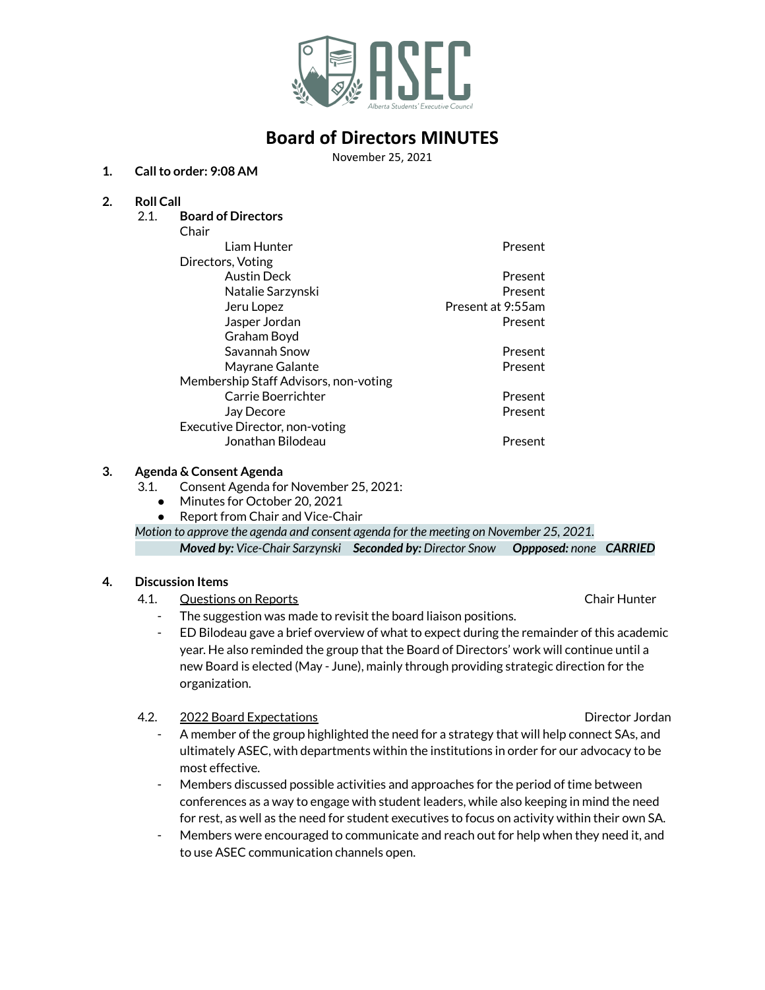

# **Board of Directors MINUTES**

November 25, 2021

### **1. Callto order: 9:08 AM**

### **2. Roll Call**

2.1. **Board of Directors**

| Chair                                 |                   |
|---------------------------------------|-------------------|
| Liam Hunter                           | Present           |
| Directors, Voting                     |                   |
| <b>Austin Deck</b>                    | Present           |
| Natalie Sarzynski                     | Present           |
| Jeru Lopez                            | Present at 9:55am |
| Jasper Jordan                         | Present           |
| Graham Boyd                           |                   |
| Savannah Snow                         | Present           |
| Mayrane Galante                       | Present           |
| Membership Staff Advisors, non-voting |                   |
| Carrie Boerrichter                    | Present           |
| Jay Decore                            | Present           |
| Executive Director, non-voting        |                   |
| Jonathan Bilodeau                     | Present           |

### **3. Agenda & Consent Agenda**

- 3.1. Consent Agenda for November 25, 2021:
	- Minutes for October 20, 2021
	- Report from Chair and Vice-Chair
- *Motion to approve the agenda and consent agenda for the meeting on November 25, 2021.*

*Moved by: Vice-Chair Sarzynski Seconded by: Director Snow Oppposed: none CARRIED*

### **4. Discussion Items**

- 4.1. Questions on Reports Chair Hunter
	- The suggestion was made to revisit the board liaison positions.
	- ED Bilodeau gave a brief overview of what to expect during the remainder of this academic year. He also reminded the group that the Board of Directors' work will continue until a new Board is elected (May - June), mainly through providing strategic direction for the organization.

4.2. 2022 Board Expectations Director Jordan

- A member of the group highlighted the need for a strategy that will help connect SAs, and ultimately ASEC, with departments within the institutions in order for our advocacy to be most effective.
- Members discussed possible activities and approaches for the period of time between conferences as a way to engage with student leaders, while also keeping in mind the need for rest, as well as the need for student executives to focus on activity within their own SA.
- Members were encouraged to communicate and reach out for help when they need it, and to use ASEC communication channels open.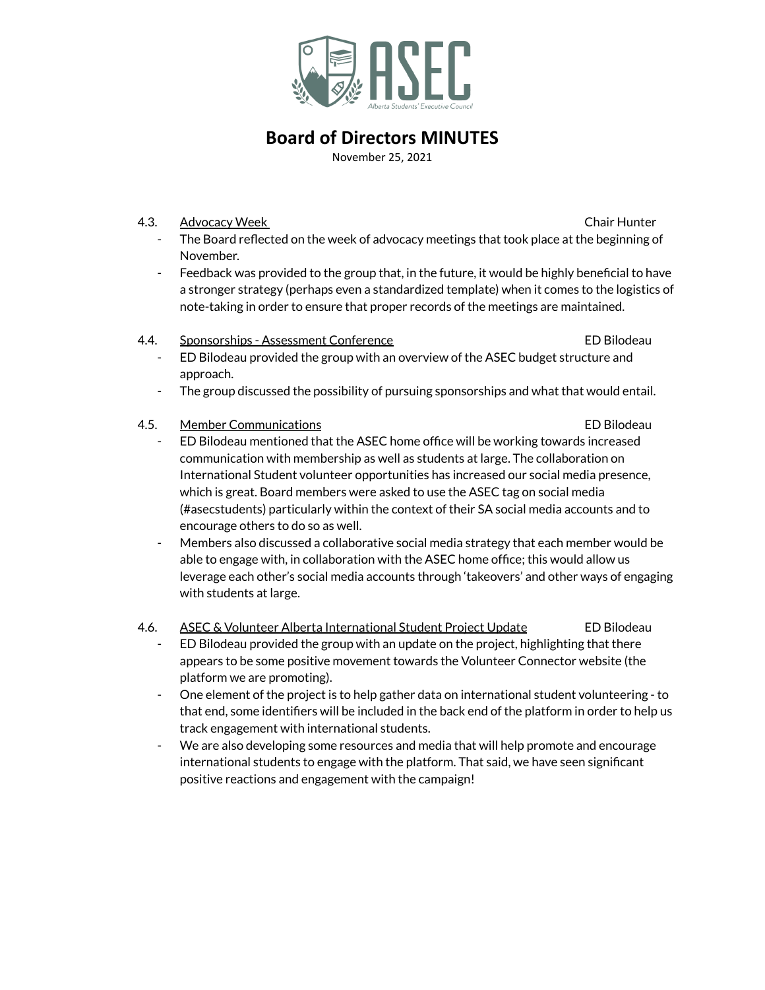

# **Board of Directors MINUTES**

November 25, 2021

### 4.3. Advocacy Week **Chair Hunter** Chair Hunter

- The Board reflected on the week of advocacy meetings that took place at the beginning of November.
- Feedback was provided to the group that, in the future, it would be highly beneficial to have a stronger strategy (perhaps even a standardized template) when it comes to the logistics of note-taking in order to ensure that proper records of the meetings are maintained.

### 4.4. Sponsorships - Assessment Conference ED Bilodeau

- ED Bilodeau provided the group with an overview of the ASEC budget structure and approach.
- The group discussed the possibility of pursuing sponsorships and what that would entail.
- 4.5. Member Communications ED Bilodeau
	- ED Bilodeau mentioned that the ASEC home office will be working towards increased communication with membership as well as students at large. The collaboration on International Student volunteer opportunities has increased our social media presence, which is great. Board members were asked to use the ASEC tag on social media (#asecstudents) particularly within the context of their SA social media accounts and to encourage others to do so as well.
	- Members also discussed a collaborative social media strategy that each member would be able to engage with, in collaboration with the ASEC home office; this would allow us leverage each other's social media accounts through 'takeovers' and other ways of engaging with students at large.
- 4.6. ASEC & Volunteer Alberta International Student Project Update ED Bilodeau
	- ED Bilodeau provided the group with an update on the project, highlighting that there appears to be some positive movement towards the Volunteer Connector website (the platform we are promoting).
	- One element of the project is to help gather data on international student volunteering to that end, some identifiers will be included in the back end of the platform in order to help us track engagement with international students.
	- We are also developing some resources and media that will help promote and encourage international students to engage with the platform. That said, we have seen significant positive reactions and engagement with the campaign!